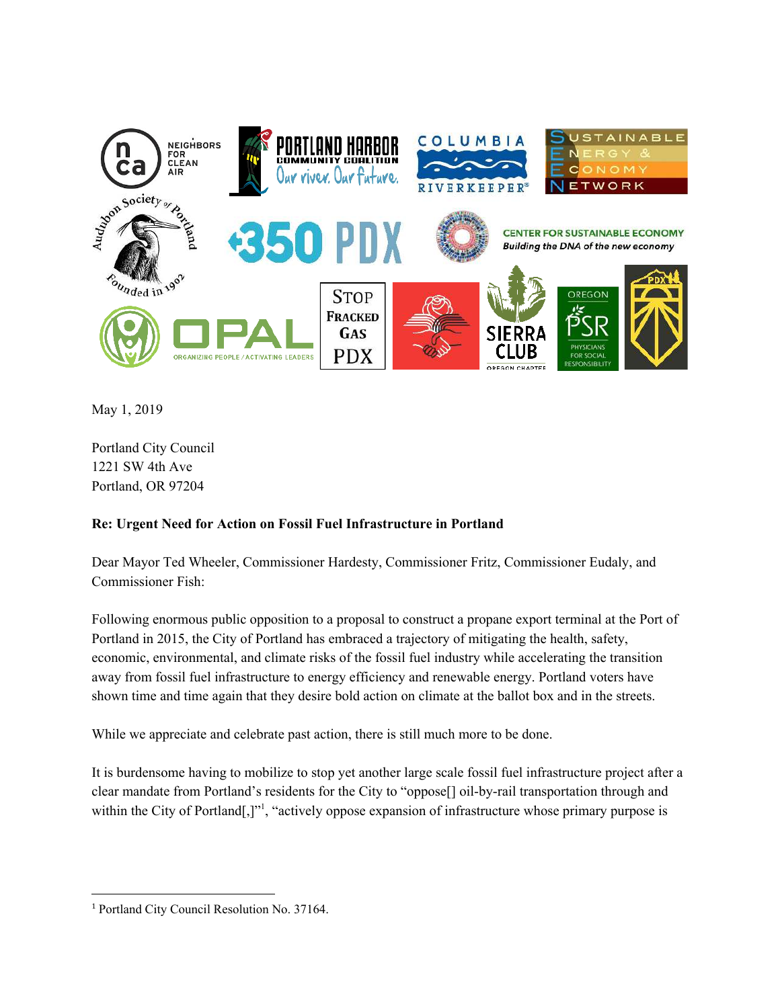

May 1, 2019

Portland City Council 1221 SW 4th Ave Portland, OR 97204

### **Re: Urgent Need for Action on Fossil Fuel Infrastructure in Portland**

Dear Mayor Ted Wheeler, Commissioner Hardesty, Commissioner Fritz, Commissioner Eudaly, and Commissioner Fish:

Following enormous public opposition to a proposal to construct a propane export terminal at the Port of Portland in 2015, the City of Portland has embraced a trajectory of mitigating the health, safety, economic, environmental, and climate risks of the fossil fuel industry while accelerating the transition away from fossil fuel infrastructure to energy efficiency and renewable energy. Portland voters have shown time and time again that they desire bold action on climate at the ballot box and in the streets.

While we appreciate and celebrate past action, there is still much more to be done.

It is burdensome having to mobilize to stop yet another large scale fossil fuel infrastructure project after a clear mandate from Portland's residents for the City to "oppose[] oil-by-rail transportation through and within the City of Portland[,]"<sup>1</sup>, "actively oppose expansion of infrastructure whose primary purpose is

<sup>1</sup> Portland City Council Resolution No. 37164.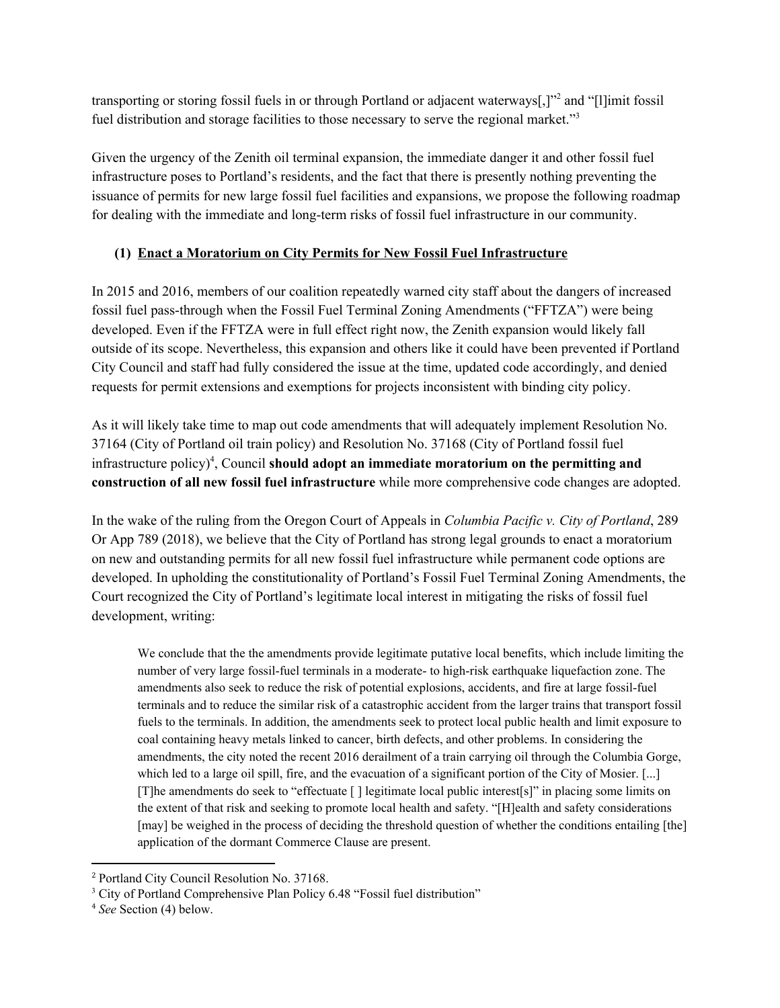transporting or storing fossil fuels in or through Portland or adjacent waterways[,]"<sup>2</sup> and "[l]imit fossil fuel distribution and storage facilities to those necessary to serve the regional market."<sup>3</sup>

Given the urgency of the Zenith oil terminal expansion, the immediate danger it and other fossil fuel infrastructure poses to Portland's residents, and the fact that there is presently nothing preventing the issuance of permits for new large fossil fuel facilities and expansions, we propose the following roadmap for dealing with the immediate and long-term risks of fossil fuel infrastructure in our community.

### **(1) Enact a Moratorium on City Permits for New Fossil Fuel Infrastructure**

In 2015 and 2016, members of our coalition repeatedly warned city staff about the dangers of increased fossil fuel pass-through when the Fossil Fuel Terminal Zoning Amendments ("FFTZA") were being developed. Even if the FFTZA were in full effect right now, the Zenith expansion would likely fall outside of its scope. Nevertheless, this expansion and others like it could have been prevented if Portland City Council and staff had fully considered the issue at the time, updated code accordingly, and denied requests for permit extensions and exemptions for projects inconsistent with binding city policy.

As it will likely take time to map out code amendments that will adequately implement Resolution No. 37164 (City of Portland oil train policy) and Resolution No. 37168 (City of Portland fossil fuel infrastructure  $\text{policy}$ <sup>4</sup>, Council **should adopt an immediate moratorium on the permitting and construction of all new fossil fuel infrastructure** while more comprehensive code changes are adopted.

In the wake of the ruling from the Oregon Court of Appeals in *Columbia Pacific v. City of Portland*, 289 Or App 789 (2018), we believe that the City of Portland has strong legal grounds to enact a moratorium on new and outstanding permits for all new fossil fuel infrastructure while permanent code options are developed. In upholding the constitutionality of Portland's Fossil Fuel Terminal Zoning Amendments, the Court recognized the City of Portland's legitimate local interest in mitigating the risks of fossil fuel development, writing:

We conclude that the the amendments provide legitimate putative local benefits, which include limiting the number of very large fossil-fuel terminals in a moderate- to high-risk earthquake liquefaction zone. The amendments also seek to reduce the risk of potential explosions, accidents, and fire at large fossil-fuel terminals and to reduce the similar risk of a catastrophic accident from the larger trains that transport fossil fuels to the terminals. In addition, the amendments seek to protect local public health and limit exposure to coal containing heavy metals linked to cancer, birth defects, and other problems. In considering the amendments, the city noted the recent 2016 derailment of a train carrying oil through the Columbia Gorge, which led to a large oil spill, fire, and the evacuation of a significant portion of the City of Mosier. [...] [T]he amendments do seek to "effectuate [ ] legitimate local public interest[s]" in placing some limits on the extent of that risk and seeking to promote local health and safety. "[H]ealth and safety considerations [may] be weighed in the process of deciding the threshold question of whether the conditions entailing [the] application of the dormant Commerce Clause are present.

<sup>2</sup> Portland City Council Resolution No. 37168.

<sup>&</sup>lt;sup>3</sup> City of Portland Comprehensive Plan Policy 6.48 "Fossil fuel distribution"

<sup>4</sup> *See* Section (4) below.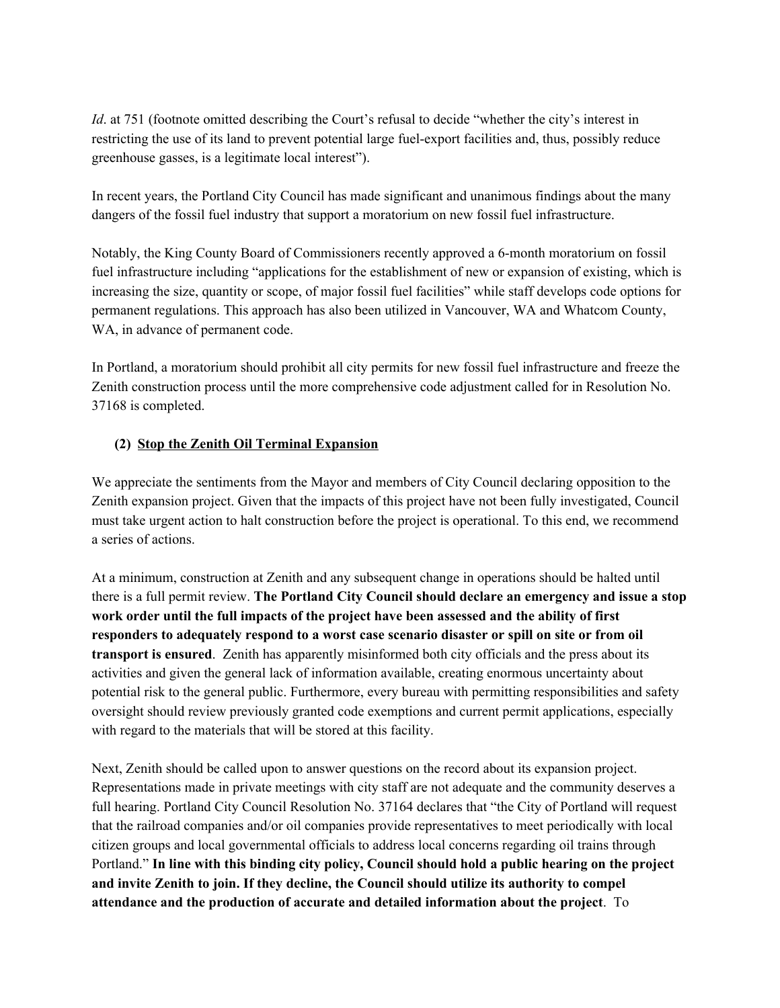*Id.* at 751 (footnote omitted describing the Court's refusal to decide "whether the city's interest in restricting the use of its land to prevent potential large fuel-export facilities and, thus, possibly reduce greenhouse gasses, is a legitimate local interest").

In recent years, the Portland City Council has made significant and unanimous findings about the many dangers of the fossil fuel industry that support a moratorium on new fossil fuel infrastructure.

Notably, the King County Board of Commissioners recently approved a 6-month moratorium on fossil fuel infrastructure including "applications for the establishment of new or expansion of existing, which is increasing the size, quantity or scope, of major fossil fuel facilities" while staff develops code options for permanent regulations. This approach has also been utilized in Vancouver, WA and Whatcom County, WA, in advance of permanent code.

In Portland, a moratorium should prohibit all city permits for new fossil fuel infrastructure and freeze the Zenith construction process until the more comprehensive code adjustment called for in Resolution No. 37168 is completed.

### **(2) Stop the Zenith Oil Terminal Expansion**

We appreciate the sentiments from the Mayor and members of City Council declaring opposition to the Zenith expansion project. Given that the impacts of this project have not been fully investigated, Council must take urgent action to halt construction before the project is operational. To this end, we recommend a series of actions.

At a minimum, construction at Zenith and any subsequent change in operations should be halted until there is a full permit review. **The Portland City Council should declare an emergency and issue a stop work order until the full impacts of the project have been assessed and the ability of first responders to adequately respond to a worst case scenario disaster or spill on site or from oil transport is ensured**.Zenith has apparently misinformed both city officials and the press about its activities and given the general lack of information available, creating enormous uncertainty about potential risk to the general public. Furthermore, every bureau with permitting responsibilities and safety oversight should review previously granted code exemptions and current permit applications, especially with regard to the materials that will be stored at this facility.

Next, Zenith should be called upon to answer questions on the record about its expansion project. Representations made in private meetings with city staff are not adequate and the community deserves a full hearing. Portland City Council Resolution No. 37164 declares that "the City of Portland will request that the railroad companies and/or oil companies provide representatives to meet periodically with local citizen groups and local governmental officials to address local concerns regarding oil trains through Portland." **In line with this binding city policy, Council should hold a public hearing on the project and invite Zenith to join. If they decline, the Council should utilize its authority to compel attendance and the production of accurate and detailed information about the project**. To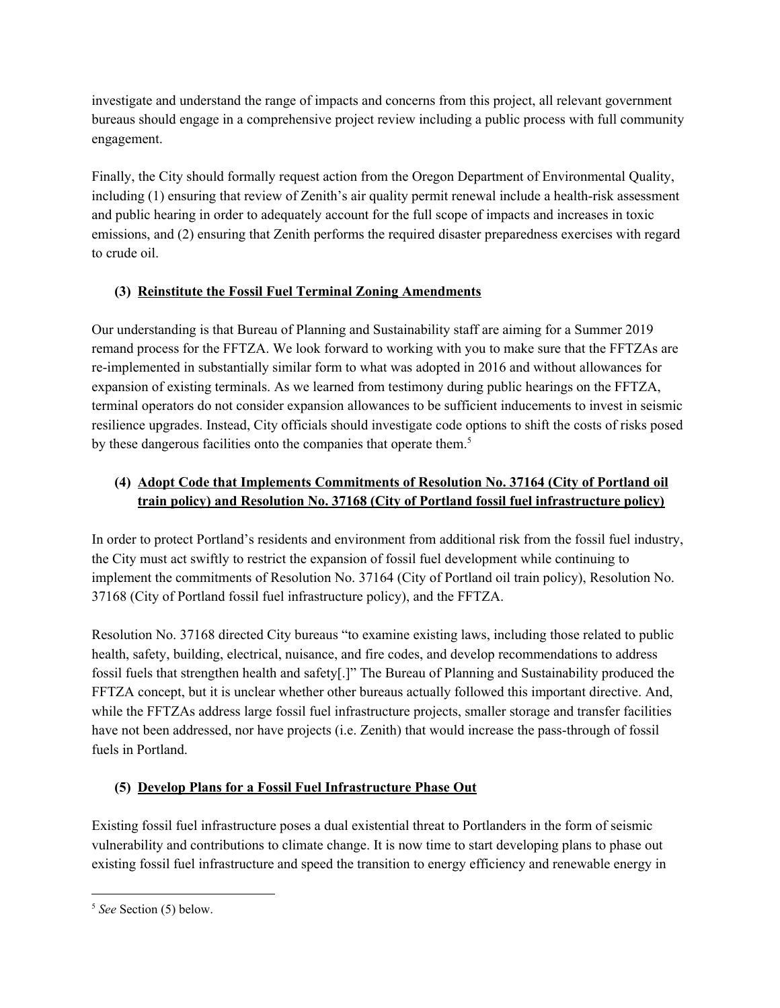investigate and understand the range of impacts and concerns from this project, all relevant government bureaus should engage in a comprehensive project review including a public process with full community engagement.

Finally, the City should formally request action from the Oregon Department of Environmental Quality, including (1) ensuring that review of Zenith's air quality permit renewal include a health-risk assessment and public hearing in order to adequately account for the full scope of impacts and increases in toxic emissions, and (2) ensuring that Zenith performs the required disaster preparedness exercises with regard to crude oil.

## **(3) Reinstitute the Fossil Fuel Terminal Zoning Amendments**

Our understanding is that Bureau of Planning and Sustainability staff are aiming for a Summer 2019 remand process for the FFTZA. We look forward to working with you to make sure that the FFTZAs are re-implemented in substantially similar form to what was adopted in 2016 and without allowances for expansion of existing terminals. As we learned from testimony during public hearings on the FFTZA, terminal operators do not consider expansion allowances to be sufficient inducements to invest in seismic resilience upgrades. Instead, City officials should investigate code options to shift the costs of risks posed by these dangerous facilities onto the companies that operate them.<sup>5</sup>

## **(4) Adopt Code that Implements Commitments of Resolution No. 37164 (City of Portland oil train policy) and Resolution No. 37168 (City of Portland fossil fuel infrastructure policy)**

In order to protect Portland's residents and environment from additional risk from the fossil fuel industry, the City must act swiftly to restrict the expansion of fossil fuel development while continuing to implement the commitments of Resolution No. 37164 (City of Portland oil train policy), Resolution No. 37168 (City of Portland fossil fuel infrastructure policy), and the FFTZA.

Resolution No. 37168 directed City bureaus "to examine existing laws, including those related to public health, safety, building, electrical, nuisance, and fire codes, and develop recommendations to address fossil fuels that strengthen health and safety[.]" The Bureau of Planning and Sustainability produced the FFTZA concept, but it is unclear whether other bureaus actually followed this important directive. And, while the FFTZAs address large fossil fuel infrastructure projects, smaller storage and transfer facilities have not been addressed, nor have projects (i.e. Zenith) that would increase the pass-through of fossil fuels in Portland.

# **(5) Develop Plans for a Fossil Fuel Infrastructure Phase Out**

Existing fossil fuel infrastructure poses a dual existential threat to Portlanders in the form of seismic vulnerability and contributions to climate change. It is now time to start developing plans to phase out existing fossil fuel infrastructure and speed the transition to energy efficiency and renewable energy in

<sup>5</sup> *See* Section (5) below.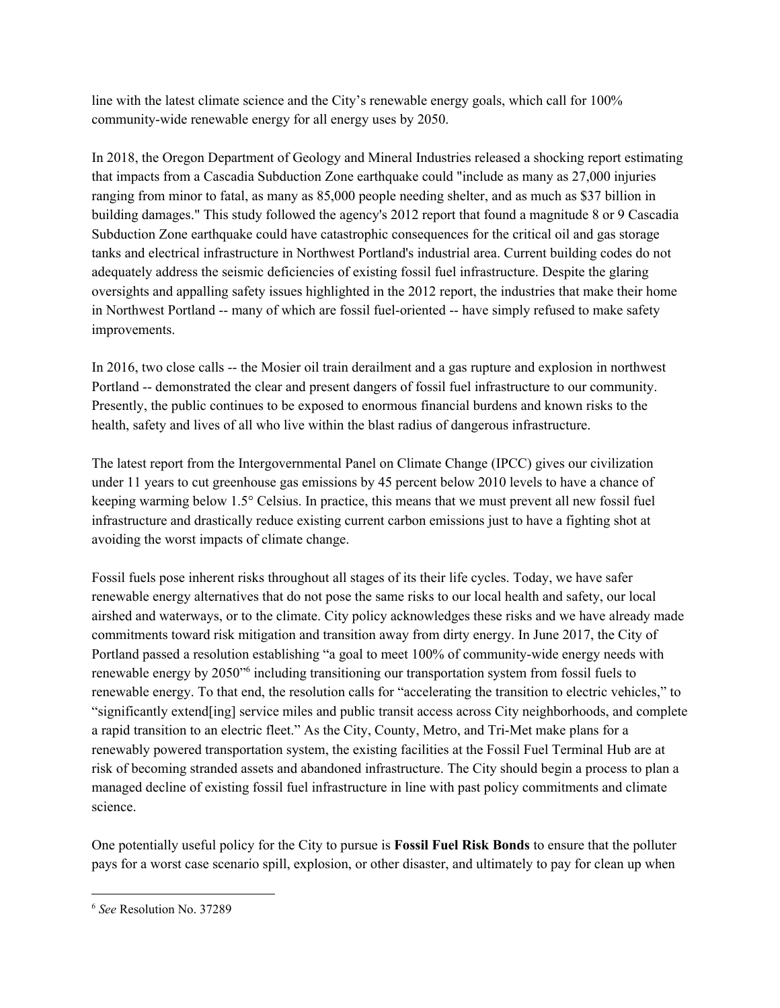line with the latest climate science and the City's renewable energy goals, which call for 100% community-wide renewable energy for all energy uses by 2050.

In 2018, the Oregon Department of Geology and Mineral Industries released a shocking report estimating that impacts from a Cascadia Subduction Zone earthquake could "include as many as 27,000 injuries ranging from minor to fatal, as many as 85,000 people needing shelter, and as much as \$37 billion in building damages." This study followed the agency's 2012 report that found a magnitude 8 or 9 Cascadia Subduction Zone earthquake could have catastrophic consequences for the critical oil and gas storage tanks and electrical infrastructure in Northwest Portland's industrial area. Current building codes do not adequately address the seismic deficiencies of existing fossil fuel infrastructure. Despite the glaring oversights and appalling safety issues highlighted in the 2012 report, the industries that make their home in Northwest Portland -- many of which are fossil fuel-oriented -- have simply refused to make safety improvements.

In 2016, two close calls -- the Mosier oil train derailment and a gas rupture and explosion in northwest Portland -- demonstrated the clear and present dangers of fossil fuel infrastructure to our community. Presently, the public continues to be exposed to enormous financial burdens and known risks to the health, safety and lives of all who live within the blast radius of dangerous infrastructure.

The latest report from the Intergovernmental Panel on Climate Change (IPCC) gives our civilization under 11 years to cut greenhouse gas emissions by 45 percent below 2010 levels to have a chance of keeping warming below 1.5° Celsius. In practice, this means that we must prevent all new fossil fuel infrastructure and drastically reduce existing current carbon emissions just to have a fighting shot at avoiding the worst impacts of climate change.

Fossil fuels pose inherent risks throughout all stages of its their life cycles. Today, we have safer renewable energy alternatives that do not pose the same risks to our local health and safety, our local airshed and waterways, or to the climate. City policy acknowledges these risks and we have already made commitments toward risk mitigation and transition away from dirty energy. In June 2017, the City of Portland passed a resolution establishing "a goal to meet 100% of community-wide energy needs with renewable energy by 2050<sup>-6</sup> including transitioning our transportation system from fossil fuels to renewable energy. To that end, the resolution calls for "accelerating the transition to electric vehicles," to "significantly extend[ing] service miles and public transit access across City neighborhoods, and complete a rapid transition to an electric fleet." As the City, County, Metro, and Tri-Met make plans for a renewably powered transportation system, the existing facilities at the Fossil Fuel Terminal Hub are at risk of becoming stranded assets and abandoned infrastructure. The City should begin a process to plan a managed decline of existing fossil fuel infrastructure in line with past policy commitments and climate science.

One potentially useful policy for the City to pursue is **Fossil Fuel Risk Bonds** to ensure that the polluter pays for a worst case scenario spill, explosion, or other disaster, and ultimately to pay for clean up when

<sup>6</sup> *See* Resolution No. 37289